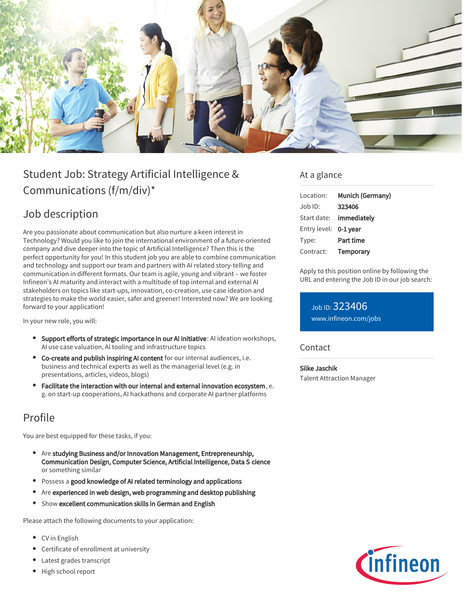

# Student Job: Strategy Artificial Intelligence & Communications (f/m/div)\*

### Job description

Are you passionate about communication but also nurture a keen interest in Technology? Would you like to join the international environment of a future-oriented company and dive deeper into the topic of Artificial Intelligence? Then this is the perfect opportunity for you! In this student job you are able to combine communication and technology and support our team and partners with AI related story-telling and communication in different formats. Our team is agile, young and vibrant – we foster Infineon's AI maturity and interact with a multitude of top internal and external AI stakeholders on topics like start-ups, innovation, co-creation, use case ideation and strategies to make the world easier, safer and greener! Interested now? We are looking forward to your application!

In your new role, you will:

- **Support efforts of strategic importance in our AI initiative: AI ideation workshops,** AI use case valuation, AI tooling and infrastructure topics
- Co-create and publish inspiring AI content for our internal audiences, i.e. business and technical experts as well as the managerial level (e.g. in presentations, articles, videos, blogs)
- Facilitate the interaction with our internal and external innovation ecosystem, e. g. on start-up cooperations, AI hackathons and corporate AI partner platforms

## Profile

You are best equipped for these tasks, if you:

- Are studying Business and/or Innovation Management, Entrepreneurship, Communication Design, Computer Science, Artificial Intelligence, Data S cience or something similar
- Possess a good knowledge of AI related terminology and applications
- Are experienced in web design, web programming and desktop publishing
- Show excellent communication skills in German and English

Please attach the following documents to your application:

- CV in English
- Certificate of enrollment at university
- Latest grades transcript
- High school report

### At a glance

| Location:             | <b>Munich (Germany)</b> |
|-----------------------|-------------------------|
| Job ID:               | 323406                  |
| Start date:           | immediately             |
| Entry level: 0-1 year |                         |
| Type:                 | <b>Part time</b>        |
| Contract:             | <b>Temporary</b>        |

Apply to this position online by following the URL and entering the Job ID in our job search:

Job ID: 323406 [www.infineon.com/jobs](https://www.infineon.com/jobs)

### **Contact**

#### Silke Jaschik

Talent Attraction Manager